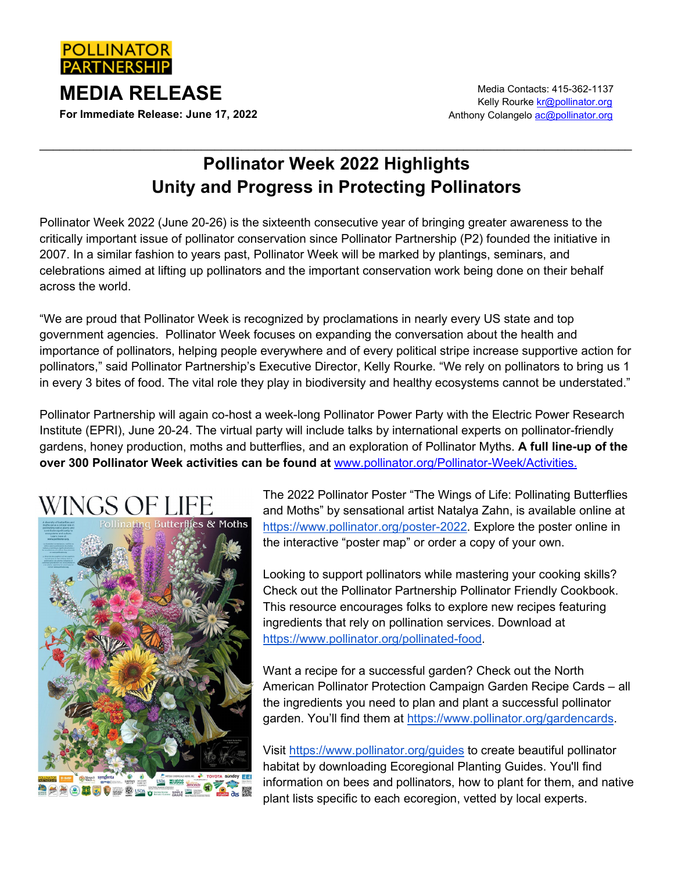

**For Immediate Release: June 17, 2022**

## **Pollinator Week 2022 Highlights Unity and Progress in Protecting Pollinators**

 $\_$  ,  $\_$  ,  $\_$  ,  $\_$  ,  $\_$  ,  $\_$  ,  $\_$  ,  $\_$  ,  $\_$  ,  $\_$  ,  $\_$  ,  $\_$  ,  $\_$  ,  $\_$  ,  $\_$  ,  $\_$  ,  $\_$  ,  $\_$  ,  $\_$  ,  $\_$  ,  $\_$  ,  $\_$  ,  $\_$  ,  $\_$  ,  $\_$  ,  $\_$  ,  $\_$  ,  $\_$  ,  $\_$  ,  $\_$  ,  $\_$  ,  $\_$  ,  $\_$  ,  $\_$  ,  $\_$  ,  $\_$  ,  $\_$  ,

Pollinator Week 2022 (June 20-26) is the sixteenth consecutive year of bringing greater awareness to the critically important issue of pollinator conservation since Pollinator Partnership (P2) founded the initiative in 2007. In a similar fashion to years past, Pollinator Week will be marked by plantings, seminars, and celebrations aimed at lifting up pollinators and the important conservation work being done on their behalf across the world.

"We are proud that Pollinator Week is recognized by proclamations in nearly every US state and top government agencies. Pollinator Week focuses on expanding the conversation about the health and importance of pollinators, helping people everywhere and of every political stripe increase supportive action for pollinators," said Pollinator Partnership's Executive Director, Kelly Rourke. "We rely on pollinators to bring us 1 in every 3 bites of food. The vital role they play in biodiversity and healthy ecosystems cannot be understated."

Pollinator Partnership will again co-host a week-long Pollinator Power Party with the Electric Power Research Institute (EPRI), June 20-24. The virtual party will include talks by international experts on pollinator-friendly gardens, honey production, moths and butterflies, and an exploration of Pollinator Myths. **A full line-up of the over 300 Pollinator Week activities can be found at** www.pollinator.org/Pollinator-Week/Activities.





The 2022 Pollinator Poster "The Wings of Life: Pollinating Butterflies and Moths" by sensational artist Natalya Zahn, is available online at [https://www.pollinator.org/poster-2022.](https://www.pollinator.org/poster-2022) Explore the poster online in the interactive "poster map" or order a copy of your own.

Looking to support pollinators while mastering your cooking skills? Check out the Pollinator Partnership Pollinator Friendly Cookbook. This resource encourages folks to explore new recipes featuring ingredients that rely on pollination services. Download at [https://www.pollinator.org/pollinated-food.](https://www.pollinator.org/pollinated-food)

Want a recipe for a successful garden? Check out the North American Pollinator Protection Campaign Garden Recipe Cards – all the ingredients you need to plan and plant a successful pollinator garden. You'll find them at [https://www.pollinator.org/gardencards.](https://www.pollinator.org/gardencards)

Visit<https://www.pollinator.org/guides> to create beautiful pollinator habitat by downloading Ecoregional Planting Guides. You'll find information on bees and pollinators, how to plant for them, and native plant lists specific to each ecoregion, vetted by local experts.